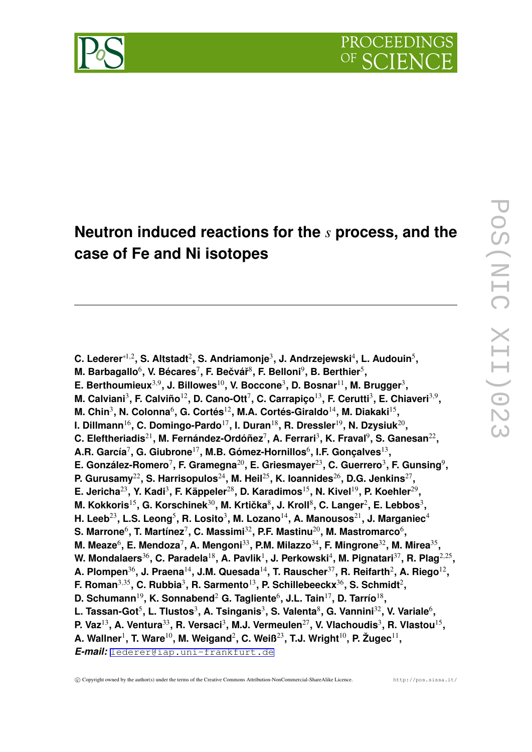

# **Neutron induced reactions for the** *s* **process, and the case of Fe and Ni isotopes**

**C. Lederer***∗*1*,*<sup>2</sup> **, S. Altstadt**<sup>2</sup> **, S. Andriamonje**<sup>3</sup> **, J. Andrzejewski**<sup>4</sup> **, L. Audouin**<sup>5</sup> **, M. Barbagallo** $^6$ **, V. Bécares** $^7$ **, F. Bečvář** $^8$ **, F. Belloni** $^9$ **, B. Berthier** $^5$ **, E. Berthoumieux**3*,*<sup>9</sup> **, J. Billowes**10**, V. Boccone**<sup>3</sup> **, D. Bosnar**11**, M. Brugger**<sup>3</sup> **, M. Calviani**<sup>3</sup> **, F. Calviño**12**, D. Cano-Ott**<sup>7</sup> **, C. Carrapiço**13**, F. Cerutti**<sup>3</sup> **, E. Chiaveri**3*,*<sup>9</sup> **,** M. Chin<sup>3</sup>, N. Colonna<sup>6</sup>, G. Cortés<sup>12</sup>, M.A. Cortés-Giraldo<sup>14</sup>, M. Diakaki<sup>15</sup>, **I. Dillmann**16**, C. Domingo-Pardo**17**, I. Duran**18**, R. Dressler**19**, N. Dzysiuk**<sup>20</sup> **, C. Eleftheriadis**21**, M. Fernández-Ordóñez**<sup>7</sup> **, A. Ferrari**<sup>3</sup> **, K. Fraval**<sup>9</sup> **, S. Ganesan**<sup>22</sup> **, A.R. García**<sup>7</sup> **, G. Giubrone**17**, M.B. Gómez-Hornillos**<sup>6</sup> **, I.F. Gonçalves**<sup>13</sup> **, E. González-Romero**<sup>7</sup> **, F. Gramegna**20**, E. Griesmayer**23**, C. Guerrero**<sup>3</sup> **, F. Gunsing**<sup>9</sup> **, P. Gurusamy**22**, S. Harrisopulos**24**, M. Heil**25**, K. Ioannides**26**, D.G. Jenkins**<sup>27</sup> **, E. Jericha**23**, Y. Kadi**<sup>3</sup> **, F. Käppeler**28**, D. Karadimos**15**, N. Kivel**19**, P. Koehler**<sup>29</sup> **, M. Kokkoris**15**, G. Korschinek**30**, M. Krticka ˇ** 8 **, J. Kroll**<sup>8</sup> **, C. Langer**<sup>2</sup> **, E. Lebbos**<sup>3</sup> **, H. Leeb**23**, L.S. Leong**<sup>5</sup> **, R. Losito**<sup>3</sup> **, M. Lozano**14**, A. Manousos**21**, J. Marganiec**<sup>4</sup>  $\boldsymbol{\mathsf{S}}$ . Marrone $^6$ , T. Martínez $^7$ , C. Massimi $^{32}$ , P.F. Mastinu $^{20}$ , M. Mastromarco $^6$ , **M. Meaze**<sup>6</sup> **, E. Mendoza**<sup>7</sup> **, A. Mengoni**33**, P.M. Milazzo**34**, F. Mingrone**32**, M. Mirea**<sup>35</sup> **, W. Mondalaers**36**, C. Paradela**18**, A. Pavlik**<sup>1</sup> **, J. Perkowski**<sup>4</sup> **, M. Pignatari**37**, R. Plag**2*,*<sup>25</sup> **, A. Plompen**36**, J. Praena**14**, J.M. Quesada**14**, T. Rauscher**37**, R. Reifarth**<sup>2</sup> **, A. Riego**<sup>12</sup> **, F. Roman**3*,*35**, C. Rubbia**<sup>3</sup> **, R. Sarmento**13**, P. Schillebeeckx**36**, S. Schmidt**<sup>2</sup> **, D. Schumann**19**, K. Sonnabend**<sup>2</sup> **G. Tagliente**<sup>6</sup> **, J.L. Tain**17**, D. Tarrío**<sup>18</sup> **,** L. Tassan-Got<sup>5</sup>, L. Tlustos<sup>3</sup>, A. Tsinganis<sup>3</sup>, S. Valenta<sup>8</sup>, G. Vannini<sup>32</sup>, V. Variale<sup>6</sup>, **P.** Vaz<sup>13</sup>, A. Ventura<sup>33</sup>, R. Versaci<sup>3</sup>, M.J. Vermeulen<sup>27</sup>, V. Vlachoudis<sup>3</sup>, R. Vlastou<sup>15</sup>, **A. Wallner**<sup>1</sup> **, T. Ware**10**, M. Weigand**<sup>2</sup> **, C. Weiß**23**, T.J. Wright**10**, P. Žugec**<sup>11</sup> **,** *E-mail:* [lederer@iap.uni-frankfurt.de](mailto:lederer@iap.uni-frankfurt.de)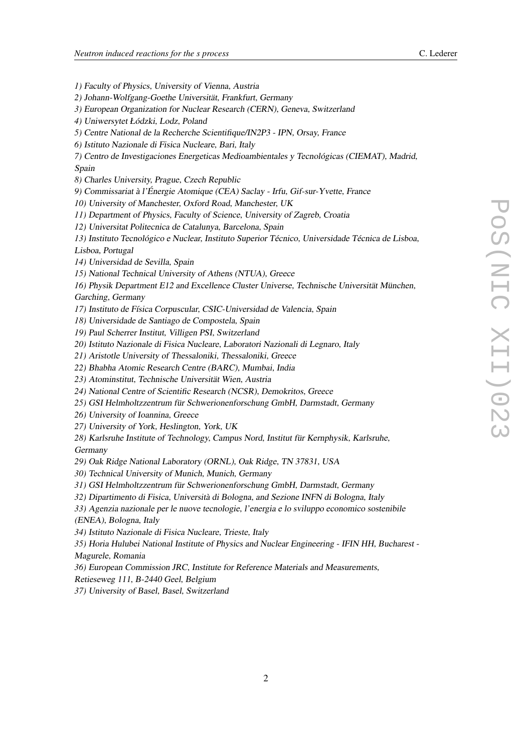*1)* Faculty of Physics, University of Vienna, Austria

*2)* Johann-Wolfgang-Goethe Universität, Frankfurt, Germany *3)* European Organization for Nuclear Research (CERN), Geneva, Switzerland *4)* Uniwersytet Łódzki, Lodz, Poland *5)* Centre National de la Recherche Scientifique/IN2P3 - IPN, Orsay, France *6)* Istituto Nazionale di Fisica Nucleare, Bari, Italy *7)* Centro de Investigaciones Energeticas Medioambientales <sup>y</sup> Tecnológicas (CIEMAT), Madrid, Spain *8)* Charles University, Prague, Czech Republic *9)* Commissariat <sup>à</sup> l'Énergie Atomique (CEA) Saclay - Irfu, Gif-sur-Yvette, France *10)* University of Manchester, Oxford Road, Manchester, UK *11)* Department of Physics, Faculty of Science, University of Zagreb, Croatia *12)* Universitat Politecnica de Catalunya, Barcelona, Spain *13)* Instituto Tecnológico <sup>e</sup> Nuclear, Instituto Superior Técnico, Universidade Técnica de Lisboa, Lisboa, Portugal *14)* Universidad de Sevilla, Spain *15)* National Technical University of Athens (NTUA), Greece *16)* Physik Department E12 and Excellence Cluster Universe, Technische Universität München, Garching, Germany *17)* Instituto de Física Corpuscular, CSIC-Universidad de Valencia, Spain *18)* Universidade de Santiago de Compostela, Spain *19)* Paul Scherrer Institut, Villigen PSI, Switzerland *20)* Istituto Nazionale di Fisica Nucleare, Laboratori Nazionali di Legnaro, Italy

*21)* Aristotle University of Thessaloniki, Thessaloniki, Greece

*22)* Bhabha Atomic Research Centre (BARC), Mumbai, India

*23)* Atominstitut, Technische Universität Wien, Austria

*24)* National Centre of Scientific Research (NCSR), Demokritos, Greece

*25)* GSI Helmholtzzentrum für Schwerionenforschung GmbH, Darmstadt, Germany

*26)* University of Ioannina, Greece

*27)* University of York, Heslington, York, UK

*28)* Karlsruhe Institute of Technology, Campus Nord, Institut für Kernphysik, Karlsruhe, Germany

*29)* Oak Ridge National Laboratory (ORNL), Oak Ridge, TN 37831, USA

*30)* Technical University of Munich, Munich, Germany

*31)* GSI Helmholtzzentrum für Schwerionenforschung GmbH, Darmstadt, Germany

*32)* Dipartimento di Fisica, Università di Bologna, and Sezione INFN di Bologna, Italy

*33)* Agenzia nazionale per le nuove tecnologie, l'energia <sup>e</sup> lo sviluppo economico sostenibile

(ENEA), Bologna, Italy

*34)* Istituto Nazionale di Fisica Nucleare, Trieste, Italy

*35)* Horia Hulubei National Institute of Physics and Nuclear Engineering - IFIN HH, Bucharest - Magurele, Romania

*36)* European Commission JRC, Institute for Reference Materials and Measurements,

Retieseweg 111, B-2440 Geel, Belgium

*37)* University of Basel, Basel, Switzerland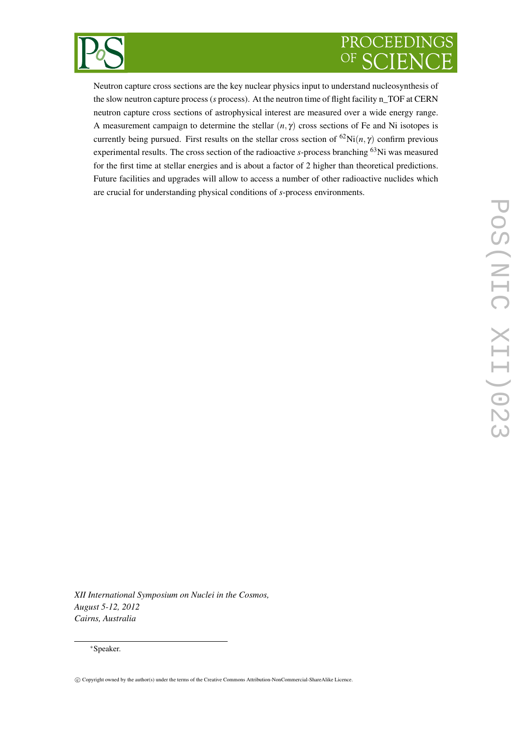

# PROCEEDINGS OF

Neutron capture cross sections are the key nuclear physics input to understand nucleosynthesis of the slow neutron capture process (*s* process). At the neutron time of flight facility n\_TOF at CERN neutron capture cross sections of astrophysical interest are measured over a wide energy range. A measurement campaign to determine the stellar  $(n, \gamma)$  cross sections of Fe and Ni isotopes is currently being pursued. First results on the stellar cross section of <sup>62</sup>Ni(*n*,  $\gamma$ ) confirm previous experimental results. The cross section of the radioactive *s*-process branching <sup>63</sup>Ni was measured for the first time at stellar energies and is about a factor of 2 higher than theoretical predictions. Future facilities and upgrades will allow to access a number of other radioactive nuclides which are crucial for understanding physical conditions of *s*-process environments.

*XII International Symposium on Nuclei in the Cosmos, August 5-12, 2012 Cairns, Australia*

# *∗*Speaker.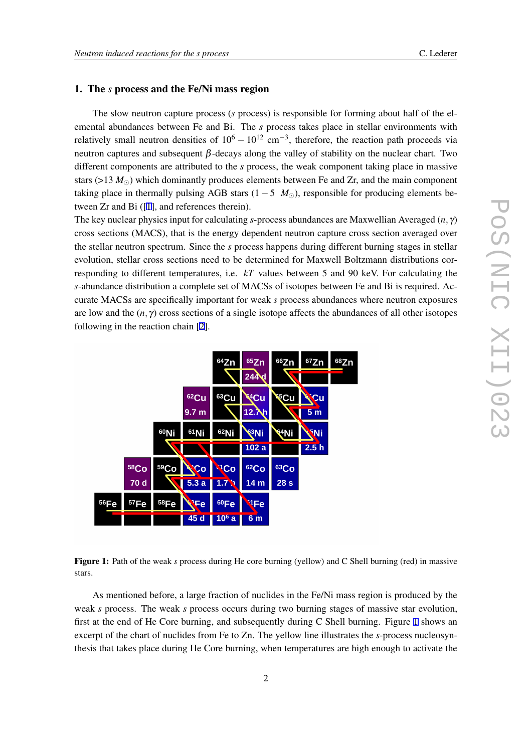# <span id="page-3-0"></span>1. The *s* process and the Fe/Ni mass region

The slow neutron capture process (*s* process) is responsible for forming about half of the elemental abundances between Fe and Bi. The *s* process takes place in stellar environments with relatively small neutron densities of  $10^6 - 10^{12}$  cm<sup>−3</sup>, therefore, the reaction path proceeds via neutron captures and subsequent  $β$ -decays along the valley of stability on the nuclear chart. Two different components are attributed to the *s* process, the weak component taking place in massive stars ( $>13 M_{\odot}$ ) which dominantly produces elements between Fe and Zr, and the main component taking place in thermally pulsing AGB stars  $(1 – 5 M<sub>⊙</sub>)$ , responsible for producing elements between Zr and Bi ([[1](#page-6-0)], and references therein).

The key nuclear physics input for calculating *s*-process abundances are Maxwellian Averaged (*n,* γ) cross sections (MACS), that is the energy dependent neutron capture cross section averaged over the stellar neutron spectrum. Since the *s* process happens during different burning stages in stellar evolution, stellar cross sections need to be determined for Maxwell Boltzmann distributions corresponding to different temperatures, i.e. *kT* values between 5 and 90 keV. For calculating the *s*-abundance distribution a complete set of MACSs of isotopes between Fe and Bi is required. Accurate MACSs are specifically important for weak *s* process abundances where neutron exposures are low and the  $(n, \gamma)$  cross sections of a single isotope affects the abundances of all other isotopes following in the reaction chain [\[2\]](#page-7-0).



Figure 1: Path of the weak *s* process during He core burning (yellow) and C Shell burning (red) in massive stars.

As mentioned before, a large fraction of nuclides in the Fe/Ni mass region is produced by the weak *s* process. The weak *s* process occurs during two burning stages of massive star evolution, first at the end of He Core burning, and subsequently during C Shell burning. Figure 1 shows an excerpt of the chart of nuclides from Fe to Zn. The yellow line illustrates the *s*-process nucleosynthesis that takes place during He Core burning, when temperatures are high enough to activate the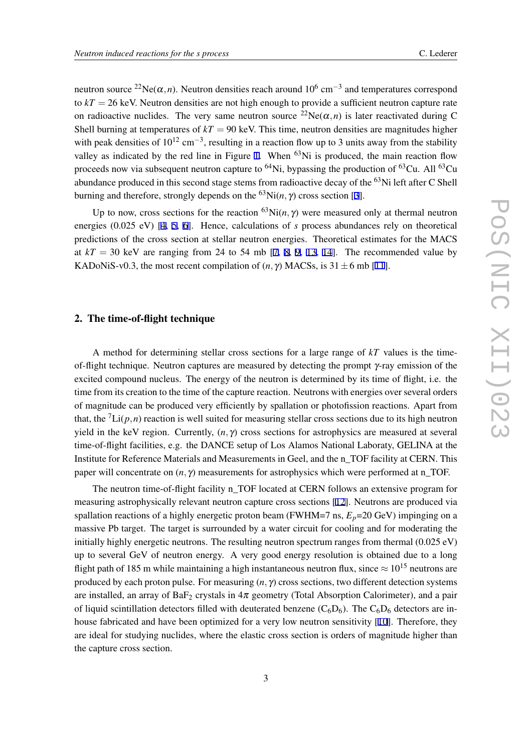neutron source <sup>22</sup>Ne( $\alpha$ ,*n*). Neutron densities reach around 10<sup>6</sup> cm<sup>-3</sup> and temperatures correspond to  $kT = 26$  keV. Neutron densities are not high enough to provide a sufficient neutron capture rate on radioactive nuclides. The very same neutron source <sup>22</sup>Ne( $\alpha$ ,*n*) is later reactivated during C Shell burning at temperatures of  $kT = 90$  keV. This time, neutron densities are magnitudes higher with peak densities of 10<sup>12</sup> cm<sup>−3</sup>, resulting in a reaction flow up to 3 units away from the stability valley as indicated by the red line in Figure [1](#page-3-0). When <sup>63</sup>Ni is produced, the main reaction flow proceeds now via subsequent neutron capture to  ${}^{64}$ Ni, bypassing the production of  ${}^{63}$ Cu. All  ${}^{63}$ Cu abundance produced in this second stage stems from radioactive decay of the <sup>63</sup>Ni left after C Shell burning and therefore, strongly depends on the <sup>6[3](#page-7-0)</sup>Ni(*n*,  $\gamma$ ) cross section [3].

Up to now, cross sections for the reaction  ${}^{63}$ Ni(*n*,  $\gamma$ ) were measured only at thermal neutron energies (0.025 eV) [\[4,](#page-7-0) [5](#page-7-0), [6](#page-7-0)]. Hence, calculations of *s* process abundances rely on theoretical predictions of the cross section at stellar neutron energies. Theoretical estimates for the MACS at  $kT = 30$  keV are ranging from 24 to 54 mb [[7](#page-7-0), [8,](#page-7-0) [9](#page-7-0), [13](#page-7-0), [14\]](#page-7-0). The recommended value by KADoNiS-v0.3, the most recent compilation of  $(n, \gamma)$  MACSs, is 31  $\pm$  6 mb [[11\]](#page-7-0).

# 2. The time-of-flight technique

A method for determining stellar cross sections for a large range of *kT* values is the timeof-flight technique. Neutron captures are measured by detecting the prompt γ-ray emission of the excited compound nucleus. The energy of the neutron is determined by its time of flight, i.e. the time from its creation to the time of the capture reaction. Neutrons with energies over several orders of magnitude can be produced very efficiently by spallation or photofission reactions. Apart from that, the  ${}^{7}Li(p,n)$  reaction is well suited for measuring stellar cross sections due to its high neutron yield in the keV region. Currently,  $(n, \gamma)$  cross sections for astrophysics are measured at several time-of-flight facilities, e.g. the DANCE setup of Los Alamos National Laboraty, GELINA at the Institute for Reference Materials and Measurements in Geel, and the n\_TOF facility at CERN. This paper will concentrate on  $(n, \gamma)$  measurements for astrophysics which were performed at n\_TOF.

The neutron time-of-flight facility n\_TOF located at CERN follows an extensive program for measuring astrophysically relevant neutron capture cross sections [[12](#page-7-0)]. Neutrons are produced via spallation reactions of a highly energetic proton beam (FWHM=7 ns,  $E_p$ =20 GeV) impinging on a massive Pb target. The target is surrounded by a water circuit for cooling and for moderating the initially highly energetic neutrons. The resulting neutron spectrum ranges from thermal (0.025 eV) up to several GeV of neutron energy. A very good energy resolution is obtained due to a long flight path of 185 m while maintaining a high instantaneous neutron flux, since *<sup>≈</sup>* <sup>10</sup><sup>15</sup> neutrons are produced by each proton pulse. For measuring (*n,* γ) cross sections, two different detection systems are installed, an array of BaF<sub>2</sub> crystals in  $4\pi$  geometry (Total Absorption Calorimeter), and a pair of liquid scintillation detectors filled with deuterated benzene  $(C_6D_6)$ . The  $C_6D_6$  detectors are inhouse fabricated and have been optimized for a very low neutron sensitivity [\[10\]](#page-7-0). Therefore, they are ideal for studying nuclides, where the elastic cross section is orders of magnitude higher than the capture cross section.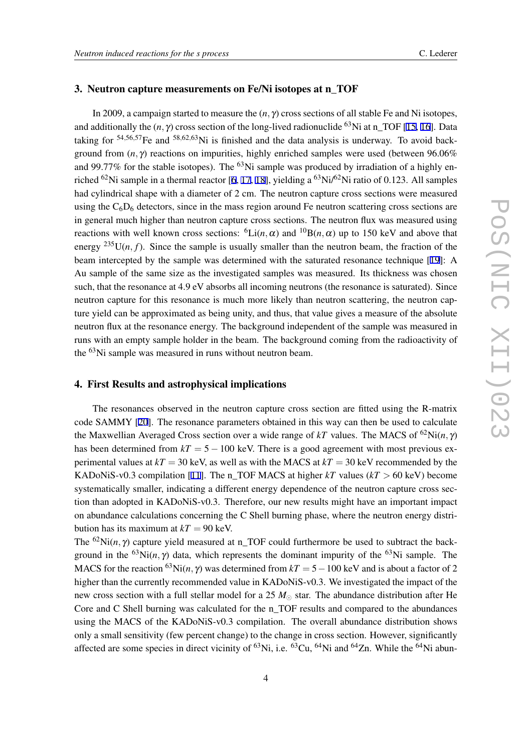# 3. Neutron capture measurements on Fe/Ni isotopes at n\_TOF

In 2009, a campaign started to measure the (*n,* γ) cross sections of all stable Fe and Ni isotopes, and additionally the  $(n, \gamma)$  cross section of the long-lived radionuclide <sup>63</sup>Ni at n\_TOF [[15,](#page-7-0) [16\]](#page-7-0). Data taking for <sup>54</sup>*,*56*,*57Fe and <sup>58</sup>*,*62*,*63Ni is finished and the data analysis is underway. To avoid background from (*n,* γ) reactions on impurities, highly enriched samples were used (between 96.06% and 99.77% for the stable isotopes). The  $^{63}$ Ni sample was produced by irradiation of a highly en-riched <sup>62</sup>Ni sample in a thermal reactor [\[6](#page-7-0), [17,](#page-7-0) [18\]](#page-7-0), yielding a <sup>63</sup>Ni/<sup>62</sup>Ni ratio of 0.123. All samples had cylindrical shape with a diameter of 2 cm. The neutron capture cross sections were measured using the  $C_6D_6$  detectors, since in the mass region around Fe neutron scattering cross sections are in general much higher than neutron capture cross sections. The neutron flux was measured using reactions with well known cross sections:  ${}^6Li(n, \alpha)$  and  ${}^{10}B(n, \alpha)$  up to 150 keV and above that energy  $^{235}U(n, f)$ . Since the sample is usually smaller than the neutron beam, the fraction of the beam intercepted by the sample was determined with the saturated resonance technique [\[19](#page-7-0)]: A Au sample of the same size as the investigated samples was measured. Its thickness was chosen such, that the resonance at 4.9 eV absorbs all incoming neutrons (the resonance is saturated). Since neutron capture for this resonance is much more likely than neutron scattering, the neutron capture yield can be approximated as being unity, and thus, that value gives a measure of the absolute neutron flux at the resonance energy. The background independent of the sample was measured in runs with an empty sample holder in the beam. The background coming from the radioactivity of the <sup>63</sup>Ni sample was measured in runs without neutron beam.

#### 4. First Results and astrophysical implications

The resonances observed in the neutron capture cross section are fitted using the R-matrix code SAMMY [[20\]](#page-7-0). The resonance parameters obtained in this way can then be used to calculate the Maxwellian Averaged Cross section over a wide range of kT values. The MACS of <sup>62</sup>Ni(*n*,  $\gamma$ ) has been determined from  $kT = 5 - 100$  keV. There is a good agreement with most previous experimental values at  $kT = 30$  keV, as well as with the MACS at  $kT = 30$  keV recommended by the KADoNiS-v0.3 compilation [[11\]](#page-7-0). The n\_TOF MACS at higher *kT* values ( $kT > 60$  keV) become systematically smaller, indicating a different energy dependence of the neutron capture cross section than adopted in KADoNiS-v0.3. Therefore, our new results might have an important impact on abundance calculations concerning the C Shell burning phase, where the neutron energy distribution has its maximum at  $kT = 90$  keV.

The <sup>62</sup>Ni(*n*,  $\gamma$ ) capture yield measured at n\_TOF could furthermore be used to subtract the background in the <sup>63</sup>Ni(*n*,  $\gamma$ ) data, which represents the dominant impurity of the <sup>63</sup>Ni sample. The MACS for the reaction <sup>63</sup>Ni(*n*,  $\gamma$ ) was determined from  $kT = 5 - 100$  keV and is about a factor of 2 higher than the currently recommended value in KADoNiS-v0.3. We investigated the impact of the new cross section with a full stellar model for a 25  $M_{\odot}$  star. The abundance distribution after He Core and C Shell burning was calculated for the n\_TOF results and compared to the abundances using the MACS of the KADoNiS-v0.3 compilation. The overall abundance distribution shows only a small sensitivity (few percent change) to the change in cross section. However, significantly affected are some species in direct vicinity of  ${}^{63}$ Ni, i.e.  ${}^{63}$ Cu,  ${}^{64}$ Ni and  ${}^{64}Zn$ . While the  ${}^{64}$ Ni abun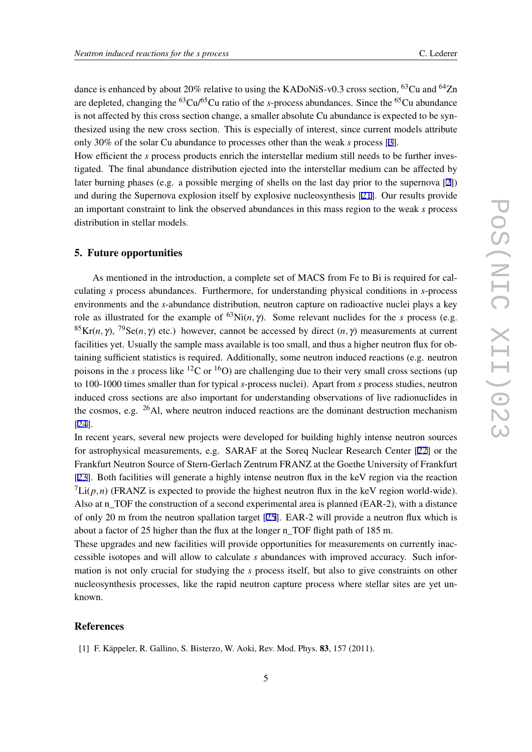<span id="page-6-0"></span>dance is enhanced by about 20% relative to using the KADoNiS-v0.3 cross section, <sup>63</sup>Cu and <sup>64</sup>Zn are depleted, changing the <sup>63</sup>Cu/<sup>65</sup>Cu ratio of the *s*-process abundances. Since the <sup>65</sup>Cu abundance is not affected by this cross section change, a smaller absolute Cu abundance is expected to be synthesized using the new cross section. This is especially of interest, since current models attribute only 30% of the solar Cu abundance to processes other than the weak *s* process [[3](#page-7-0)].

How efficient the *s* process products enrich the interstellar medium still needs to be further investigated. The final abundance distribution ejected into the interstellar medium can be affected by later burning phases (e.g. a possible merging of shells on the last day prior to the supernova [\[2\]](#page-7-0)) and during the Supernova explosion itself by explosive nucleosynthesis [[21\]](#page-7-0). Our results provide an important constraint to link the observed abundances in this mass region to the weak *s* process distribution in stellar models.

### 5. Future opportunities

As mentioned in the introduction, a complete set of MACS from Fe to Bi is required for calculating *s* process abundances. Furthermore, for understanding physical conditions in *s*-process environments and the *s*-abundance distribution, neutron capture on radioactive nuclei plays a key role as illustrated for the example of <sup>63</sup>Ni(*n*,  $\gamma$ ). Some relevant nuclides for the *s* process (e.g. <sup>85</sup>Kr(*n*,  $\gamma$ ), <sup>79</sup>Se(*n*,  $\gamma$ ) etc.) however, cannot be accessed by direct (*n*,  $\gamma$ ) measurements at current facilities yet. Usually the sample mass available is too small, and thus a higher neutron flux for obtaining sufficient statistics is required. Additionally, some neutron induced reactions (e.g. neutron poisons in the *s* process like <sup>12</sup>C or <sup>16</sup>O) are challenging due to their very small cross sections (up to 100-1000 times smaller than for typical *s*-process nuclei). Apart from *s* process studies, neutron induced cross sections are also important for understanding observations of live radionuclides in the cosmos, e.g.  $^{26}$ Al, where neutron induced reactions are the dominant destruction mechanism [[24\]](#page-7-0).

In recent years, several new projects were developed for building highly intense neutron sources for astrophysical measurements, e.g. SARAF at the Soreq Nuclear Research Center [[22](#page-7-0)] or the Frankfurt Neutron Source of Stern-Gerlach Zentrum FRANZ at the Goethe University of Frankfurt [[23\]](#page-7-0). Both facilities will generate a highly intense neutron flux in the keV region via the reaction  $\int$ Li( $p, n$ ) (FRANZ is expected to provide the highest neutron flux in the keV region world-wide). Also at n\_TOF the construction of a second experimental area is planned (EAR-2), with a distance of only 20 m from the neutron spallation target [[25\]](#page-7-0). EAR-2 will provide a neutron flux which is about a factor of 25 higher than the flux at the longer n\_TOF flight path of 185 m.

These upgrades and new facilities will provide opportunities for measurements on currently inaccessible isotopes and will allow to calculate *s* abundances with improved accuracy. Such information is not only crucial for studying the *s* process itself, but also to give constraints on other nucleosynthesis processes, like the rapid neutron capture process where stellar sites are yet unknown.

# References

[1] F. Käppeler, R. Gallino, S. Bisterzo, W. Aoki, Rev. Mod. Phys. 83, 157 (2011).